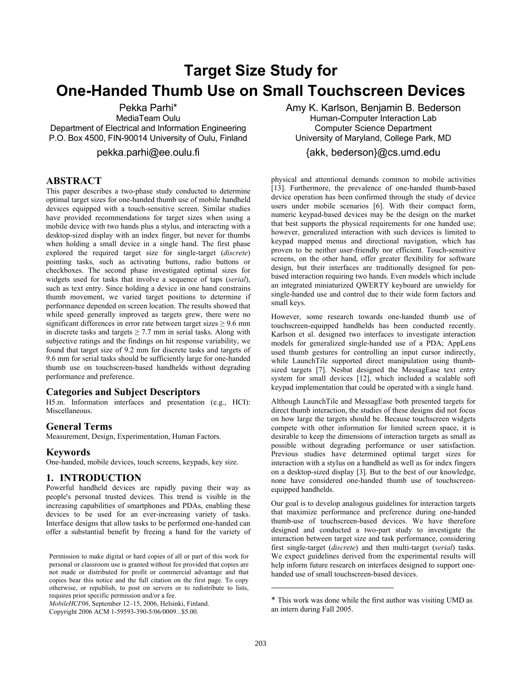# **Target Size Study for One-Handed Thumb Use on Small Touchscreen Devices**

Pekka Parhi\*

MediaTeam Oulu Department of Electrical and Information Engineering P.O. Box 4500, FIN-90014 University of Oulu, Finland

pekka.parhi@ee.oulu.fi

# **ABSTRACT**

This paper describes a two-phase study conducted to determine optimal target sizes for one-handed thumb use of mobile handheld devices equipped with a touch-sensitive screen. Similar studies have provided recommendations for target sizes when using a mobile device with two hands plus a stylus, and interacting with a desktop-sized display with an index finger, but never for thumbs when holding a small device in a single hand. The first phase explored the required target size for single-target (*discrete*) pointing tasks, such as activating buttons, radio buttons or checkboxes. The second phase investigated optimal sizes for widgets used for tasks that involve a sequence of taps (*serial*), such as text entry. Since holding a device in one hand constrains thumb movement, we varied target positions to determine if performance depended on screen location. The results showed that while speed generally improved as targets grew, there were no significant differences in error rate between target sizes  $\geq 9.6$  mm in discrete tasks and targets  $\geq$  7.7 mm in serial tasks. Along with subjective ratings and the findings on hit response variability, we found that target size of 9.2 mm for discrete tasks and targets of 9.6 mm for serial tasks should be sufficiently large for one-handed thumb use on touchscreen-based handhelds without degrading performance and preference.

## **Categories and Subject Descriptors**

H5.m. Information interfaces and presentation (e.g., HCI): Miscellaneous.

# **General Terms**

Measurement, Design, Experimentation, Human Factors.

#### **Keywords**

One-handed, mobile devices, touch screens, keypads, key size.

# **1. INTRODUCTION**

Powerful handheld devices are rapidly paving their way as people's personal trusted devices. This trend is visible in the increasing capabilities of smartphones and PDAs, enabling these devices to be used for an ever-increasing variety of tasks. Interface designs that allow tasks to be performed one-handed can offer a substantial benefit by freeing a hand for the variety of

Copyright 2006 ACM 1-59593-390-5/06/0009...\$5.00.

Amy K. Karlson, Benjamin B. Bederson Human-Computer Interaction Lab Computer Science Department University of Maryland, College Park, MD

# {akk, bederson}@cs.umd.edu

physical and attentional demands common to mobile activities [13]. Furthermore, the prevalence of one-handed thumb-based device operation has been confirmed through the study of device users under mobile scenarios [6]. With their compact form, numeric keypad-based devices may be the design on the market that best supports the physical requirements for one handed use; however, generalized interaction with such devices is limited to keypad mapped menus and directional navigation, which has proven to be neither user-friendly nor efficient. Touch-sensitive screens, on the other hand, offer greater flexibility for software design, but their interfaces are traditionally designed for penbased interaction requiring two hands. Even models which include an integrated miniaturized QWERTY keyboard are unwieldy for single-handed use and control due to their wide form factors and small keys.

However, some research towards one-handed thumb use of touchscreen-equipped handhelds has been conducted recently. Karlson et al. designed two interfaces to investigate interaction models for generalized single-handed use of a PDA; AppLens used thumb gestures for controlling an input cursor indirectly, while LaunchTile supported direct manipulation using thumbsized targets [7]. Nesbat designed the MessagEase text entry system for small devices [12], which included a scalable soft keypad implementation that could be operated with a single hand.

Although LaunchTile and MessagEase both presented targets for direct thumb interaction, the studies of these designs did not focus on how large the targets should be. Because touchscreen widgets compete with other information for limited screen space, it is desirable to keep the dimensions of interaction targets as small as possible without degrading performance or user satisfaction. Previous studies have determined optimal target sizes for interaction with a stylus on a handheld as well as for index fingers on a desktop-sized display [3]. But to the best of our knowledge, none have considered one-handed thumb use of touchscreenequipped handhelds.

Our goal is to develop analogous guidelines for interaction targets that maximize performance and preference during one-handed thumb-use of touchscreen-based devices. We have therefore designed and conducted a two-part study to investigate the interaction between target size and task performance, considering first single-target (*discrete*) and then multi-target (*serial*) tasks. We expect guidelines derived from the experimental results will help inform future research on interfaces designed to support onehanded use of small touchscreen-based devices.

l

Permission to make digital or hard copies of all or part of this work for personal or classroom use is granted without fee provided that copies are not made or distributed for profit or commercial advantage and that copies bear this notice and the full citation on the first page. To copy otherwise, or republish, to post on servers or to redistribute to lists, requires prior specific permission and/or a fee.

*MobileHCI'06*, September 12–15, 2006, Helsinki, Finland.

<sup>\*</sup> This work was done while the first author was visiting UMD as an intern during Fall 2005.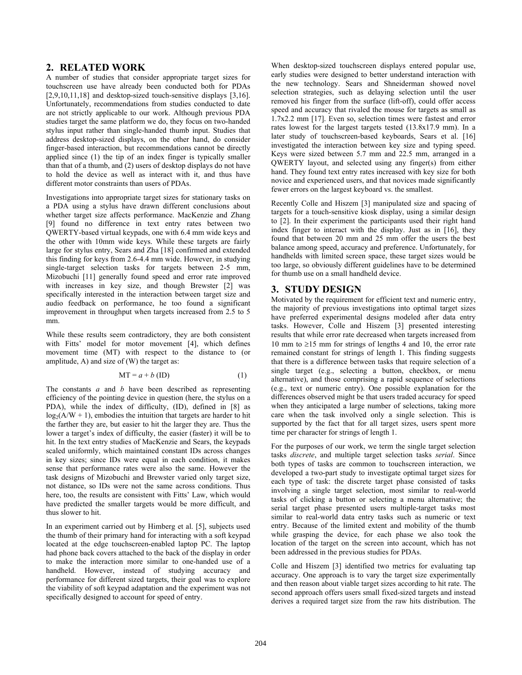#### **2. RELATED WORK**

A number of studies that consider appropriate target sizes for touchscreen use have already been conducted both for PDAs [2,9,10,11,18] and desktop-sized touch-sensitive displays [3,16]. Unfortunately, recommendations from studies conducted to date are not strictly applicable to our work. Although previous PDA studies target the same platform we do, they focus on two-handed stylus input rather than single-handed thumb input. Studies that address desktop-sized displays, on the other hand, do consider finger-based interaction, but recommendations cannot be directly applied since (1) the tip of an index finger is typically smaller than that of a thumb, and (2) users of desktop displays do not have to hold the device as well as interact with it, and thus have different motor constraints than users of PDAs.

Investigations into appropriate target sizes for stationary tasks on a PDA using a stylus have drawn different conclusions about whether target size affects performance. MacKenzie and Zhang [9] found no difference in text entry rates between two QWERTY-based virtual keypads, one with 6.4 mm wide keys and the other with 10mm wide keys. While these targets are fairly large for stylus entry, Sears and Zha [18] confirmed and extended this finding for keys from 2.6-4.4 mm wide. However, in studying single-target selection tasks for targets between 2-5 mm, Mizobuchi [11] generally found speed and error rate improved with increases in key size, and though Brewster [2] was specifically interested in the interaction between target size and audio feedback on performance, he too found a significant improvement in throughput when targets increased from 2.5 to 5 mm.

While these results seem contradictory, they are both consistent with Fitts' model for motor movement [4], which defines movement time (MT) with respect to the distance to (or amplitude, A) and size of (W) the target as:

$$
MT = a + b (ID)
$$
 (1)

The constants *a* and *b* have been described as representing efficiency of the pointing device in question (here, the stylus on a PDA), while the index of difficulty, (ID), defined in [8] as  $log_2(A/W + 1)$ , embodies the intuition that targets are harder to hit the farther they are, but easier to hit the larger they are. Thus the lower a target's index of difficulty, the easier (faster) it will be to hit. In the text entry studies of MacKenzie and Sears, the keypads scaled uniformly, which maintained constant IDs across changes in key sizes; since IDs were equal in each condition, it makes sense that performance rates were also the same. However the task designs of Mizobuchi and Brewster varied only target size, not distance, so IDs were not the same across conditions. Thus here, too, the results are consistent with Fitts' Law, which would have predicted the smaller targets would be more difficult, and thus slower to hit.

In an experiment carried out by Himberg et al. [5], subjects used the thumb of their primary hand for interacting with a soft keypad located at the edge touchscreen-enabled laptop PC. The laptop had phone back covers attached to the back of the display in order to make the interaction more similar to one-handed use of a handheld. However, instead of studying accuracy and performance for different sized targets, their goal was to explore the viability of soft keypad adaptation and the experiment was not specifically designed to account for speed of entry.

When desktop-sized touchscreen displays entered popular use, early studies were designed to better understand interaction with the new technology. Sears and Shneiderman showed novel selection strategies, such as delaying selection until the user removed his finger from the surface (lift-off), could offer access speed and accuracy that rivaled the mouse for targets as small as 1.7x2.2 mm [17]. Even so, selection times were fastest and error rates lowest for the largest targets tested (13.8x17.9 mm). In a later study of touchscreen-based keyboards, Sears et al. [16] investigated the interaction between key size and typing speed. Keys were sized between 5.7 mm and 22.5 mm, arranged in a QWERTY layout, and selected using any finger(s) from either hand. They found text entry rates increased with key size for both novice and experienced users, and that novices made significantly fewer errors on the largest keyboard vs. the smallest.

Recently Colle and Hiszem [3] manipulated size and spacing of targets for a touch-sensitive kiosk display, using a similar design to [2]. In their experiment the participants used their right hand index finger to interact with the display. Just as in [16], they found that between 20 mm and 25 mm offer the users the best balance among speed, accuracy and preference. Unfortunately, for handhelds with limited screen space, these target sizes would be too large, so obviously different guidelines have to be determined for thumb use on a small handheld device.

# **3. STUDY DESIGN**

Motivated by the requirement for efficient text and numeric entry, the majority of previous investigations into optimal target sizes have preferred experimental designs modeled after data entry tasks. However, Colle and Hiszem [3] presented interesting results that while error rate decreased when targets increased from 10 mm to ≥15 mm for strings of lengths 4 and 10, the error rate remained constant for strings of length 1. This finding suggests that there is a difference between tasks that require selection of a single target (e.g., selecting a button, checkbox, or menu alternative), and those comprising a rapid sequence of selections (e.g., text or numeric entry). One possible explanation for the differences observed might be that users traded accuracy for speed when they anticipated a large number of selections, taking more care when the task involved only a single selection. This is supported by the fact that for all target sizes, users spent more time per character for strings of length 1.

For the purposes of our work, we term the single target selection tasks *discrete*, and multiple target selection tasks *serial*. Since both types of tasks are common to touchscreen interaction, we developed a two-part study to investigate optimal target sizes for each type of task: the discrete target phase consisted of tasks involving a single target selection, most similar to real-world tasks of clicking a button or selecting a menu alternative; the serial target phase presented users multiple-target tasks most similar to real-world data entry tasks such as numeric or text entry. Because of the limited extent and mobility of the thumb while grasping the device, for each phase we also took the location of the target on the screen into account, which has not been addressed in the previous studies for PDAs.

Colle and Hiszem [3] identified two metrics for evaluating tap accuracy. One approach is to vary the target size experimentally and then reason about viable target sizes according to hit rate. The second approach offers users small fixed-sized targets and instead derives a required target size from the raw hits distribution. The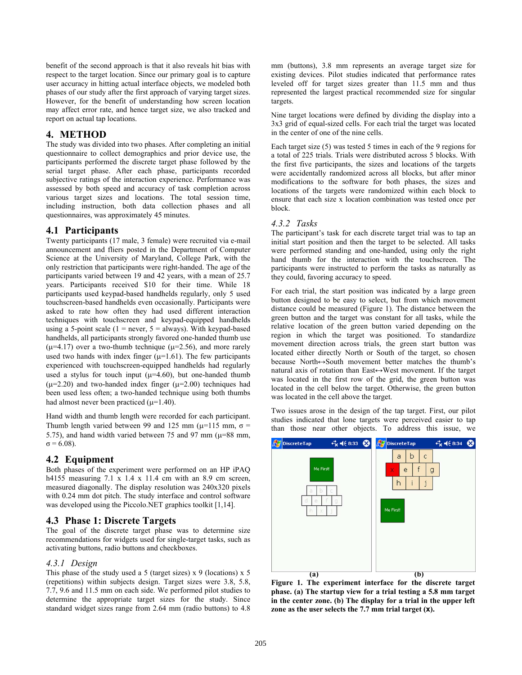benefit of the second approach is that it also reveals hit bias with respect to the target location. Since our primary goal is to capture user accuracy in hitting actual interface objects, we modeled both phases of our study after the first approach of varying target sizes. However, for the benefit of understanding how screen location may affect error rate, and hence target size, we also tracked and report on actual tap locations.

# **4. METHOD**

The study was divided into two phases. After completing an initial questionnaire to collect demographics and prior device use, the participants performed the discrete target phase followed by the serial target phase. After each phase, participants recorded subjective ratings of the interaction experience. Performance was assessed by both speed and accuracy of task completion across various target sizes and locations. The total session time, including instruction, both data collection phases and all questionnaires, was approximately 45 minutes.

# **4.1 Participants**

Twenty participants (17 male, 3 female) were recruited via e-mail announcement and fliers posted in the Department of Computer Science at the University of Maryland, College Park, with the only restriction that participants were right-handed. The age of the participants varied between 19 and 42 years, with a mean of 25.7 years. Participants received \$10 for their time. While 18 participants used keypad-based handhelds regularly, only 5 used touchscreen-based handhelds even occasionally. Participants were asked to rate how often they had used different interaction techniques with touchscreen and keypad-equipped handhelds using a 5-point scale ( $1 =$  never,  $5 =$  always). With keypad-based handhelds, all participants strongly favored one-handed thumb use ( $\mu$ =4.17) over a two-thumb technique ( $\mu$ =2.56), and more rarely used two hands with index finger  $(\mu=1.61)$ . The few participants experienced with touchscreen-equipped handhelds had regularly used a stylus for touch input  $(\mu=4.60)$ , but one-handed thumb  $(\mu=2.20)$  and two-handed index finger  $(\mu=2.00)$  techniques had been used less often; a two-handed technique using both thumbs had almost never been practiced  $(\mu=1.40)$ .

Hand width and thumb length were recorded for each participant. Thumb length varied between 99 and 125 mm ( $\mu$ =115 mm,  $\sigma$  = 5.75), and hand width varied between 75 and 97 mm  $(\mu=88 \text{ mm})$ ,  $σ = 6.08$ ).

# **4.2 Equipment**

Both phases of the experiment were performed on an HP iPAQ h4155 measuring 7.1 x 1.4 x 11.4 cm with an 8.9 cm screen, measured diagonally. The display resolution was 240x320 pixels with 0.24 mm dot pitch. The study interface and control software was developed using the Piccolo.NET graphics toolkit [1,14].

# **4.3 Phase 1: Discrete Targets**

The goal of the discrete target phase was to determine size recommendations for widgets used for single-target tasks, such as activating buttons, radio buttons and checkboxes.

# *4.3.1 Design*

This phase of the study used a 5 (target sizes) x 9 (locations) x 5 (repetitions) within subjects design. Target sizes were 3.8, 5.8, 7.7, 9.6 and 11.5 mm on each side. We performed pilot studies to determine the appropriate target sizes for the study. Since standard widget sizes range from 2.64 mm (radio buttons) to 4.8

mm (buttons), 3.8 mm represents an average target size for existing devices. Pilot studies indicated that performance rates leveled off for target sizes greater than 11.5 mm and thus represented the largest practical recommended size for singular targets

Nine target locations were defined by dividing the display into a 3x3 grid of equal-sized cells. For each trial the target was located in the center of one of the nine cells.

Each target size (5) was tested 5 times in each of the 9 regions for a total of 225 trials. Trials were distributed across 5 blocks. With the first five participants, the sizes and locations of the targets were accidentally randomized across all blocks, but after minor modifications to the software for both phases, the sizes and locations of the targets were randomized within each block to ensure that each size x location combination was tested once per block.

#### *4.3.2 Tasks*

The participant's task for each discrete target trial was to tap an initial start position and then the target to be selected. All tasks were performed standing and one-handed, using only the right hand thumb for the interaction with the touchscreen. The participants were instructed to perform the tasks as naturally as they could, favoring accuracy to speed.

For each trial, the start position was indicated by a large green button designed to be easy to select, but from which movement distance could be measured (Figure 1). The distance between the green button and the target was constant for all tasks, while the relative location of the green button varied depending on the region in which the target was positioned. To standardize movement direction across trials, the green start button was located either directly North or South of the target, so chosen because North↔South movement better matches the thumb's natural axis of rotation than East↔West movement. If the target was located in the first row of the grid, the green button was located in the cell below the target. Otherwise, the green button was located in the cell above the target.

Two issues arose in the design of the tap target. First, our pilot studies indicated that lone targets were perceived easier to tap than those near other objects. To address this issue, we



**Figure 1. The experiment interface for the discrete target phase. (a) The startup view for a trial testing a 5.8 mm target in the center zone. (b) The display for a trial in the upper left zone as the user selects the 7.7 mm trial target (x).**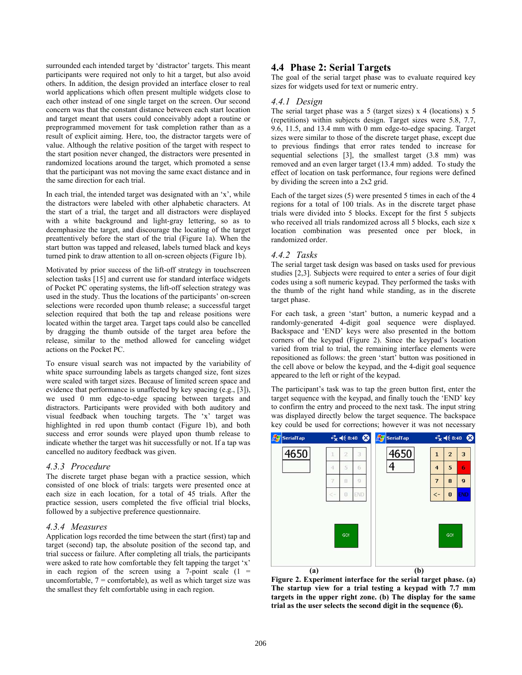surrounded each intended target by 'distractor' targets. This meant participants were required not only to hit a target, but also avoid others. In addition, the design provided an interface closer to real world applications which often present multiple widgets close to each other instead of one single target on the screen. Our second concern was that the constant distance between each start location and target meant that users could conceivably adopt a routine or preprogrammed movement for task completion rather than as a result of explicit aiming. Here, too, the distractor targets were of value. Although the relative position of the target with respect to the start position never changed, the distractors were presented in randomized locations around the target, which promoted a sense that the participant was not moving the same exact distance and in the same direction for each trial.

In each trial, the intended target was designated with an 'x', while the distractors were labeled with other alphabetic characters. At the start of a trial, the target and all distractors were displayed with a white background and light-gray lettering, so as to deemphasize the target, and discourage the locating of the target preattentively before the start of the trial (Figure 1a). When the start button was tapped and released, labels turned black and keys turned pink to draw attention to all on-screen objects (Figure 1b).

Motivated by prior success of the lift-off strategy in touchscreen selection tasks [15] and current use for standard interface widgets of Pocket PC operating systems, the lift-off selection strategy was used in the study. Thus the locations of the participants' on-screen selections were recorded upon thumb release; a successful target selection required that both the tap and release positions were located within the target area. Target taps could also be cancelled by dragging the thumb outside of the target area before the release, similar to the method allowed for canceling widget actions on the Pocket PC.

To ensure visual search was not impacted by the variability of white space surrounding labels as targets changed size, font sizes were scaled with target sizes. Because of limited screen space and evidence that performance is unaffected by key spacing (e.g., [3]), we used 0 mm edge-to-edge spacing between targets and distractors. Participants were provided with both auditory and visual feedback when touching targets. The 'x' target was highlighted in red upon thumb contact (Figure 1b), and both success and error sounds were played upon thumb release to indicate whether the target was hit successfully or not. If a tap was cancelled no auditory feedback was given.

#### *4.3.3 Procedure*

The discrete target phase began with a practice session, which consisted of one block of trials: targets were presented once at each size in each location, for a total of 45 trials. After the practice session, users completed the five official trial blocks, followed by a subjective preference questionnaire.

#### *4.3.4 Measures*

Application logs recorded the time between the start (first) tap and target (second) tap, the absolute position of the second tap, and trial success or failure. After completing all trials, the participants were asked to rate how comfortable they felt tapping the target 'x' in each region of the screen using a 7-point scale  $(1 =$ uncomfortable,  $7 =$  comfortable), as well as which target size was the smallest they felt comfortable using in each region.

# **4.4 Phase 2: Serial Targets**

The goal of the serial target phase was to evaluate required key sizes for widgets used for text or numeric entry.

## *4.4.1 Design*

The serial target phase was a 5 (target sizes) x 4 (locations) x 5 (repetitions) within subjects design. Target sizes were 5.8, 7.7, 9.6, 11.5, and 13.4 mm with 0 mm edge-to-edge spacing. Target sizes were similar to those of the discrete target phase, except due to previous findings that error rates tended to increase for sequential selections [3], the smallest target (3.8 mm) was removed and an even larger target (13.4 mm) added. To study the effect of location on task performance, four regions were defined by dividing the screen into a 2x2 grid.

Each of the target sizes (5) were presented 5 times in each of the 4 regions for a total of 100 trials. As in the discrete target phase trials were divided into 5 blocks. Except for the first 5 subjects who received all trials randomized across all 5 blocks, each size x location combination was presented once per block, in randomized order.

## *4.4.2 Tasks*

The serial target task design was based on tasks used for previous studies [2,3]. Subjects were required to enter a series of four digit codes using a soft numeric keypad. They performed the tasks with the thumb of the right hand while standing, as in the discrete target phase.

For each task, a green 'start' button, a numeric keypad and a randomly-generated 4-digit goal sequence were displayed. Backspace and 'END' keys were also presented in the bottom corners of the keypad (Figure 2). Since the keypad's location varied from trial to trial, the remaining interface elements were repositioned as follows: the green 'start' button was positioned in the cell above or below the keypad, and the 4-digit goal sequence appeared to the left or right of the keypad.

The participant's task was to tap the green button first, enter the target sequence with the keypad, and finally touch the 'END' key to confirm the entry and proceed to the next task. The input string was displayed directly below the target sequence. The backspace key could be used for corrections; however it was not necessary



**Figure 2. Experiment interface for the serial target phase. (a) The startup view for a trial testing a keypad with 7.7 mm targets in the upper right zone. (b) The display for the same trial as the user selects the second digit in the sequence (6).**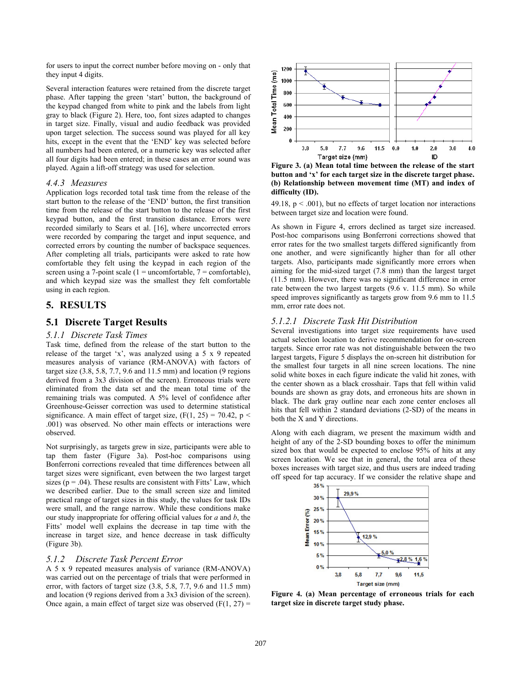for users to input the correct number before moving on - only that they input 4 digits.

Several interaction features were retained from the discrete target phase. After tapping the green 'start' button, the background of the keypad changed from white to pink and the labels from light gray to black (Figure 2). Here, too, font sizes adapted to changes in target size. Finally, visual and audio feedback was provided upon target selection. The success sound was played for all key hits, except in the event that the 'END' key was selected before all numbers had been entered, or a numeric key was selected after all four digits had been entered; in these cases an error sound was played. Again a lift-off strategy was used for selection.

#### *4.4.3 Measures*

Application logs recorded total task time from the release of the start button to the release of the 'END' button, the first transition time from the release of the start button to the release of the first keypad button, and the first transition distance. Errors were recorded similarly to Sears et al. [16], where uncorrected errors were recorded by comparing the target and input sequence, and corrected errors by counting the number of backspace sequences. After completing all trials, participants were asked to rate how comfortable they felt using the keypad in each region of the screen using a 7-point scale ( $1 =$  uncomfortable,  $7 =$  comfortable), and which keypad size was the smallest they felt comfortable using in each region.

# **5. RESULTS**

## **5.1 Discrete Target Results**

#### *5.1.1 Discrete Task Times*

Task time, defined from the release of the start button to the release of the target 'x', was analyzed using a 5 x 9 repeated measures analysis of variance (RM-ANOVA) with factors of target size (3.8, 5.8, 7.7, 9.6 and 11.5 mm) and location (9 regions derived from a 3x3 division of the screen). Erroneous trials were eliminated from the data set and the mean total time of the remaining trials was computed. A 5% level of confidence after Greenhouse-Geisser correction was used to determine statistical significance. A main effect of target size,  $(F(1, 25) = 70.42, p <$ .001) was observed. No other main effects or interactions were observed.

Not surprisingly, as targets grew in size, participants were able to tap them faster (Figure 3a). Post-hoc comparisons using Bonferroni corrections revealed that time differences between all target sizes were significant, even between the two largest target sizes ( $p = .04$ ). These results are consistent with Fitts' Law, which we described earlier. Due to the small screen size and limited practical range of target sizes in this study, the values for task IDs were small, and the range narrow. While these conditions make our study inappropriate for offering official values for *a* and *b*, the Fitts' model well explains the decrease in tap time with the increase in target size, and hence decrease in task difficulty (Figure 3b).

## *5.1.2 Discrete Task Percent Error*

A 5 x 9 repeated measures analysis of variance (RM-ANOVA) was carried out on the percentage of trials that were performed in error, with factors of target size (3.8, 5.8, 7.7, 9.6 and 11.5 mm) and location (9 regions derived from a 3x3 division of the screen). Once again, a main effect of target size was observed  $(F(1, 27))$  =



**Figure 3. (a) Mean total time between the release of the start button and 'x' for each target size in the discrete target phase. (b) Relationship between movement time (MT) and index of difficulty (ID).**

49.18,  $p < .001$ ), but no effects of target location nor interactions between target size and location were found.

As shown in Figure 4, errors declined as target size increased. Post-hoc comparisons using Bonferroni corrections showed that error rates for the two smallest targets differed significantly from one another, and were significantly higher than for all other targets. Also, participants made significantly more errors when aiming for the mid-sized target (7.8 mm) than the largest target (11.5 mm). However, there was no significant difference in error rate between the two largest targets (9.6 v. 11.5 mm). So while speed improves significantly as targets grow from 9.6 mm to 11.5 mm, error rate does not.

#### *5.1.2.1 Discrete Task Hit Distribution*

Several investigations into target size requirements have used actual selection location to derive recommendation for on-screen targets. Since error rate was not distinguishable between the two largest targets, Figure 5 displays the on-screen hit distribution for the smallest four targets in all nine screen locations. The nine solid white boxes in each figure indicate the valid hit zones, with the center shown as a black crosshair. Taps that fell within valid bounds are shown as gray dots, and erroneous hits are shown in black. The dark gray outline near each zone center encloses all hits that fell within 2 standard deviations (2-SD) of the means in both the X and Y directions.

Along with each diagram, we present the maximum width and height of any of the 2-SD bounding boxes to offer the minimum sized box that would be expected to enclose 95% of hits at any screen location. We see that in general, the total area of these boxes increases with target size, and thus users are indeed trading off speed for tap accuracy. If we consider the relative shape and



**Figure 4. (a) Mean percentage of erroneous trials for each target size in discrete target study phase.**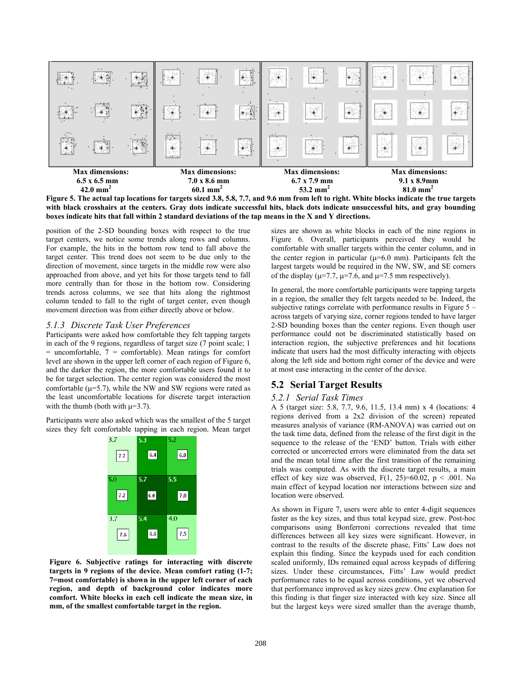

**Figure 5. The actual tap locations for targets sized 3.8, 5.8, 7.7, and 9.6 mm from left to right. White blocks indicate the true targets with black crosshairs at the centers. Gray dots indicate successful hits, black dots indicate unsuccessful hits, and gray bounding boxes indicate hits that fall within 2 standard deviations of the tap means in the X and Y directions.** 

position of the 2-SD bounding boxes with respect to the true target centers, we notice some trends along rows and columns. For example, the hits in the bottom row tend to fall above the target center. This trend does not seem to be due only to the direction of movement, since targets in the middle row were also approached from above, and yet hits for those targets tend to fall more centrally than for those in the bottom row. Considering trends across columns, we see that hits along the rightmost column tended to fall to the right of target center, even though movement direction was from either directly above or below.

#### *5.1.3 Discrete Task User Preferences*

Participants were asked how comfortable they felt tapping targets in each of the 9 regions, regardless of target size (7 point scale; 1  $=$  uncomfortable,  $7 =$  comfortable). Mean ratings for comfort level are shown in the upper left corner of each region of Figure 6, and the darker the region, the more comfortable users found it to be for target selection. The center region was considered the most comfortable  $(\mu=5.7)$ , while the NW and SW regions were rated as the least uncomfortable locations for discrete target interaction with the thumb (both with  $\mu=3.7$ ).

Participants were also asked which was the smallest of the 5 target sizes they felt comfortable tapping in each region. Mean target



**Figure 6. Subjective ratings for interacting with discrete targets in 9 regions of the device. Mean comfort rating (1-7; 7=most comfortable) is shown in the upper left corner of each region, and depth of background color indicates more comfort. White blocks in each cell indicate the mean size, in mm, of the smallest comfortable target in the region.**

sizes are shown as white blocks in each of the nine regions in Figure 6. Overall, participants perceived they would be comfortable with smaller targets within the center column, and in the center region in particular  $(\mu=6.0 \text{ mm})$ . Participants felt the largest targets would be required in the NW, SW, and SE corners of the display ( $\mu$ =7.7,  $\mu$ =7.6, and  $\mu$ =7.5 mm respectively).

In general, the more comfortable participants were tapping targets in a region, the smaller they felt targets needed to be. Indeed, the subjective ratings correlate with performance results in Figure 5 – across targets of varying size, corner regions tended to have larger 2-SD bounding boxes than the center regions. Even though user performance could not be discriminated statistically based on interaction region, the subjective preferences and hit locations indicate that users had the most difficulty interacting with objects along the left side and bottom right corner of the device and were at most ease interacting in the center of the device.

# **5.2 Serial Target Results**

#### *5.2.1 Serial Task Times*

A 5 (target size: 5.8, 7.7, 9.6, 11.5, 13.4 mm) x 4 (locations: 4 regions derived from a 2x2 division of the screen) repeated measures analysis of variance (RM-ANOVA) was carried out on the task time data, defined from the release of the first digit in the sequence to the release of the 'END' button. Trials with either corrected or uncorrected errors were eliminated from the data set and the mean total time after the first transition of the remaining trials was computed. As with the discrete target results, a main effect of key size was observed,  $F(1, 25)=60.02$ ,  $p < .001$ . No main effect of keypad location nor interactions between size and location were observed.

As shown in Figure 7, users were able to enter 4-digit sequences faster as the key sizes, and thus total keypad size, grew. Post-hoc comparisons using Bonferroni corrections revealed that time differences between all key sizes were significant. However, in contrast to the results of the discrete phase, Fitts' Law does not explain this finding. Since the keypads used for each condition scaled uniformly, IDs remained equal across keypads of differing sizes. Under these circumstances, Fitts' Law would predict performance rates to be equal across conditions, yet we observed that performance improved as key sizes grew. One explanation for this finding is that finger size interacted with key size. Since all but the largest keys were sized smaller than the average thumb,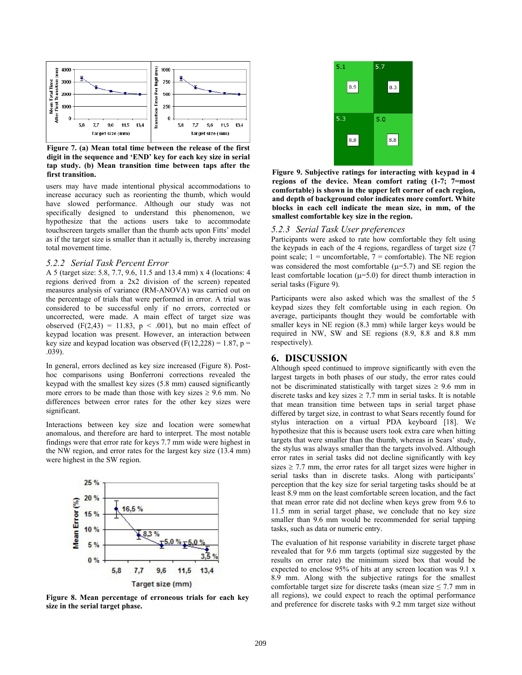

**Figure 7. (a) Mean total time between the release of the first digit in the sequence and 'END' key for each key size in serial tap study. (b) Mean transition time between taps after the first transition.** 

users may have made intentional physical accommodations to increase accuracy such as reorienting the thumb, which would have slowed performance. Although our study was not specifically designed to understand this phenomenon, we hypothesize that the actions users take to accommodate touchscreen targets smaller than the thumb acts upon Fitts' model as if the target size is smaller than it actually is, thereby increasing total movement time.

#### *5.2.2 Serial Task Percent Error*

A 5 (target size: 5.8, 7.7, 9.6, 11.5 and 13.4 mm) x 4 (locations: 4 regions derived from a 2x2 division of the screen) repeated measures analysis of variance (RM-ANOVA) was carried out on the percentage of trials that were performed in error. A trial was considered to be successful only if no errors, corrected or uncorrected, were made. A main effect of target size was observed  $(F(2,43) = 11.83, p < .001)$ , but no main effect of keypad location was present. However, an interaction between key size and keypad location was observed  $(F(12,228) = 1.87, p =$ .039).

In general, errors declined as key size increased (Figure 8). Posthoc comparisons using Bonferroni corrections revealed the keypad with the smallest key sizes (5.8 mm) caused significantly more errors to be made than those with key sizes  $\geq 9.6$  mm. No differences between error rates for the other key sizes were significant.

Interactions between key size and location were somewhat anomalous, and therefore are hard to interpret. The most notable findings were that error rate for keys 7.7 mm wide were highest in the NW region, and error rates for the largest key size (13.4 mm) were highest in the SW region.



**Figure 8. Mean percentage of erroneous trials for each key size in the serial target phase.** 



**Figure 9. Subjective ratings for interacting with keypad in 4 regions of the device. Mean comfort rating (1-7; 7=most comfortable) is shown in the upper left corner of each region, and depth of background color indicates more comfort. White blocks in each cell indicate the mean size, in mm, of the smallest comfortable key size in the region.** 

#### *5.2.3 Serial Task User preferences*

Participants were asked to rate how comfortable they felt using the keypads in each of the 4 regions, regardless of target size (7 point scale;  $1 =$  uncomfortable,  $7 =$  comfortable). The NE region was considered the most comfortable  $(\mu=5.7)$  and SE region the least comfortable location ( $\mu$ =5.0) for direct thumb interaction in serial tasks (Figure 9).

Participants were also asked which was the smallest of the 5 keypad sizes they felt comfortable using in each region. On average, participants thought they would be comfortable with smaller keys in NE region (8.3 mm) while larger keys would be required in NW, SW and SE regions (8.9, 8.8 and 8.8 mm respectively).

## **6. DISCUSSION**

Although speed continued to improve significantly with even the largest targets in both phases of our study, the error rates could not be discriminated statistically with target sizes  $\geq 9.6$  mm in discrete tasks and key sizes  $\geq$  7.7 mm in serial tasks. It is notable that mean transition time between taps in serial target phase differed by target size, in contrast to what Sears recently found for stylus interaction on a virtual PDA keyboard [18]. We hypothesize that this is because users took extra care when hitting targets that were smaller than the thumb, whereas in Sears' study, the stylus was always smaller than the targets involved. Although error rates in serial tasks did not decline significantly with key sizes  $\ge$  7.7 mm, the error rates for all target sizes were higher in serial tasks than in discrete tasks. Along with participants' perception that the key size for serial targeting tasks should be at least 8.9 mm on the least comfortable screen location, and the fact that mean error rate did not decline when keys grew from 9.6 to 11.5 mm in serial target phase, we conclude that no key size smaller than 9.6 mm would be recommended for serial tapping tasks, such as data or numeric entry.

The evaluation of hit response variability in discrete target phase revealed that for 9.6 mm targets (optimal size suggested by the results on error rate) the minimum sized box that would be expected to enclose 95% of hits at any screen location was 9.1 x 8.9 mm. Along with the subjective ratings for the smallest comfortable target size for discrete tasks (mean size  $\leq$  7.7 mm in all regions), we could expect to reach the optimal performance and preference for discrete tasks with 9.2 mm target size without